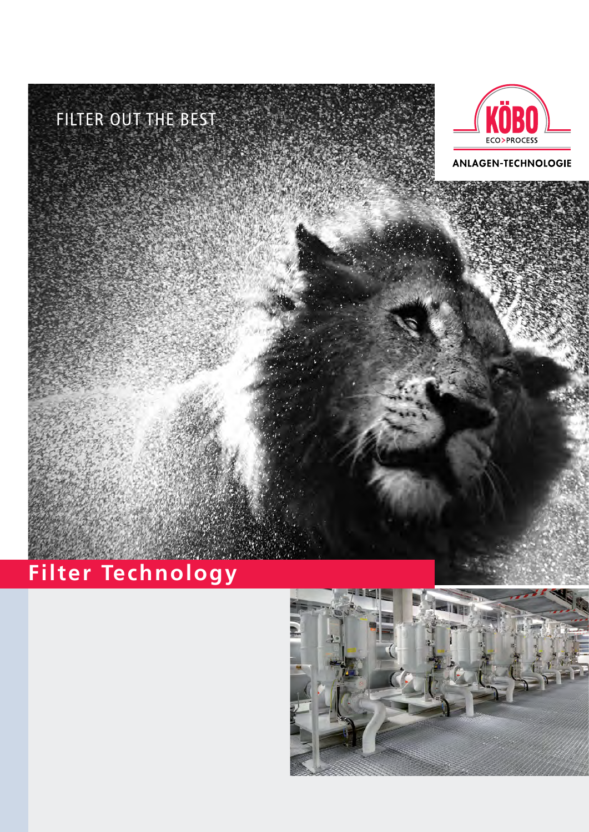



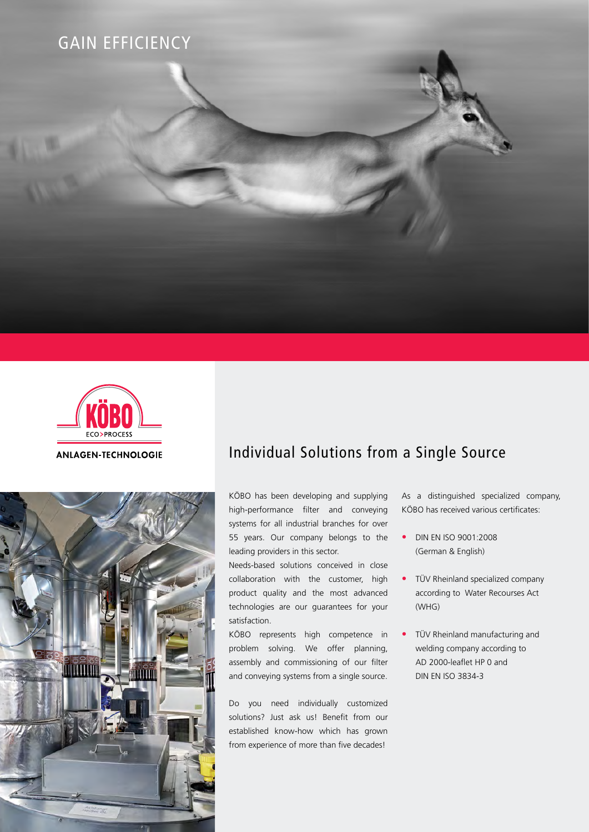





## Individual Solutions from a Single Source

KÖBO has been developing and supplying high-performance filter and conveying systems for all industrial branches for over 55 years. Our company belongs to the leading providers in this sector.

Needs-based solutions conceived in close collaboration with the customer, high product quality and the most advanced technologies are our guarantees for your satisfaction.

KÖBO represents high competence in problem solving. We offer planning, assembly and commissioning of our filter and conveying systems from a single source.

Do you need individually customized solutions? Just ask us! Benefit from our established know-how which has grown from experience of more than five decades!

As a distinguished specialized company, KÖBO has received various certificates:

- DIN EN ISO 9001:2008 (German & English)
- TÜV Rheinland specialized company according to Water Recourses Act (WHG)
- TÜV Rheinland manufacturing and welding company according to AD 2000-leaflet HP 0 and DIN EN ISO 3834-3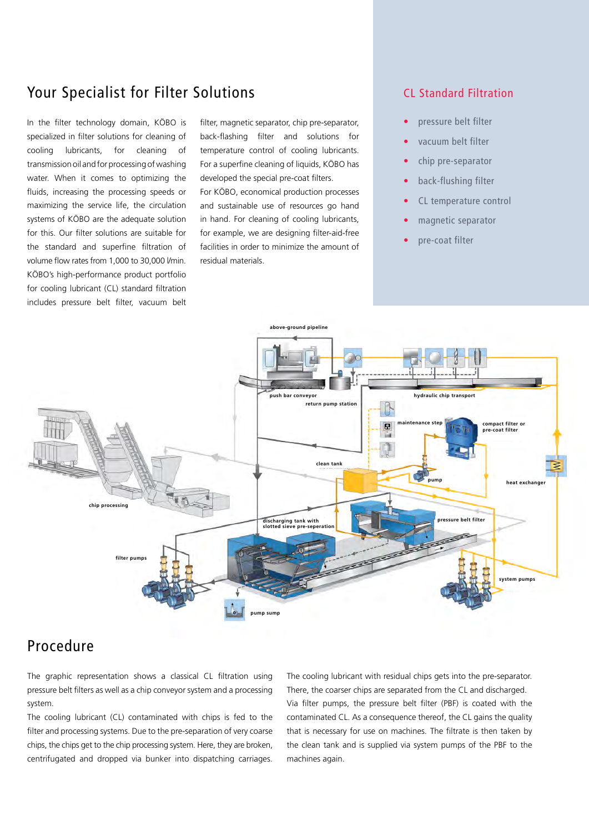## Your Specialist for Filter Solutions The CL Standard Filtration

In the filter technology domain, KÖBO is specialized in filter solutions for cleaning of cooling lubricants, for cleaning of transmission oil and for processing of washing water. When it comes to optimizing the fluids, increasing the processing speeds or maximizing the service life, the circulation systems of KÖBO are the adequate solution for this. Our filter solutions are suitable for the standard and superfine filtration of volume flow rates from 1,000 to 30,000 l/min. KÖBO's high-performance product portfolio for cooling lubricant (CL) standard filtration includes pressure belt filter, vacuum belt filter, magnetic separator, chip pre-separator, back-flashing filter and solutions for temperature control of cooling lubricants. For a superfine cleaning of liquids, KÖBO has developed the special pre-coat filters.

For KÖBO, economical production processes and sustainable use of resources go hand in hand. For cleaning of cooling lubricants, for example, we are designing filter-aid-free facilities in order to minimize the amount of residual materials.

- pressure belt filter
- vacuum belt filter
- chip pre-separator
- back-flushing filter
- CL temperature control
- magnetic separator
- pre-coat filter



## Procedure

The graphic representation shows a classical CL filtration using pressure belt filters as well as a chip conveyor system and a processing system.

The cooling lubricant (CL) contaminated with chips is fed to the filter and processing systems. Due to the pre-separation of very coarse chips, the chips get to the chip processing system. Here, they are broken, centrifugated and dropped via bunker into dispatching carriages.

The cooling lubricant with residual chips gets into the pre-separator. There, the coarser chips are separated from the CL and discharged. Via filter pumps, the pressure belt filter (PBF) is coated with the contaminated CL. As a consequence thereof, the CL gains the quality that is necessary for use on machines. The filtrate is then taken by the clean tank and is supplied via system pumps of the PBF to the machines again.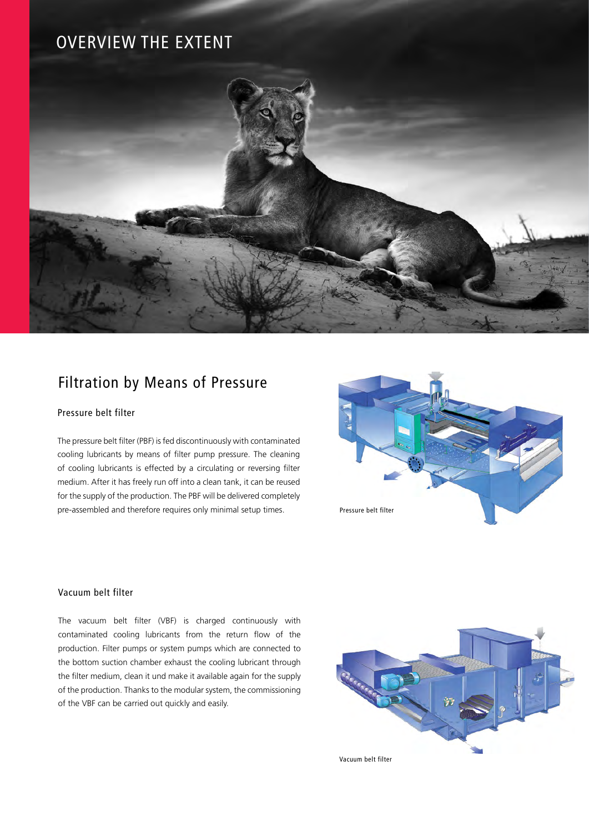# OVERVIEW THE EXTENT



## Filtration by Means of Pressure

### Pressure belt filter

The pressure belt filter (PBF) is fed discontinuously with contaminated cooling lubricants by means of filter pump pressure. The cleaning of cooling lubricants is effected by a circulating or reversing filter medium. After it has freely run off into a clean tank, it can be reused for the supply of the production. The PBF will be delivered completely pre-assembled and therefore requires only minimal setup times.



### Vacuum belt filter

The vacuum belt filter (VBF) is charged continuously with contaminated cooling lubricants from the return flow of the production. Filter pumps or system pumps which are connected to the bottom suction chamber exhaust the cooling lubricant through the filter medium, clean it und make it available again for the supply of the production. Thanks to the modular system, the commissioning of the VBF can be carried out quickly and easily.



Vacuum belt filter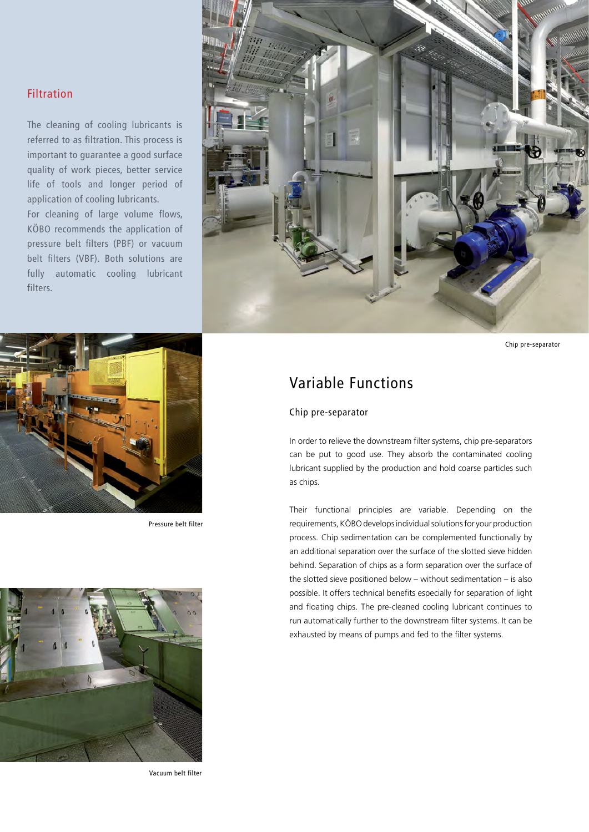### Filtration

The cleaning of cooling lubricants is referred to as filtration. This process is important to guarantee a good surface quality of work pieces, better service life of tools and longer period of application of cooling lubricants.

For cleaning of large volume flows, KÖBO recommends the application of pressure belt filters (PBF) or vacuum belt filters (VBF). Both solutions are fully automatic cooling lubricant filters.



Pressure belt filter



Vacuum belt filter



Chip pre-separator

## Variable Functions

### Chip pre-separator

In order to relieve the downstream filter systems, chip pre-separators can be put to good use. They absorb the contaminated cooling lubricant supplied by the production and hold coarse particles such as chips.

Their functional principles are variable. Depending on the requirements, KÖBO develops individual solutions for your production process. Chip sedimentation can be complemented functionally by an additional separation over the surface of the slotted sieve hidden behind. Separation of chips as a form separation over the surface of the slotted sieve positioned below – without sedimentation – is also possible. It offers technical benefits especially for separation of light and floating chips. The pre-cleaned cooling lubricant continues to run automatically further to the downstream filter systems. It can be exhausted by means of pumps and fed to the filter systems.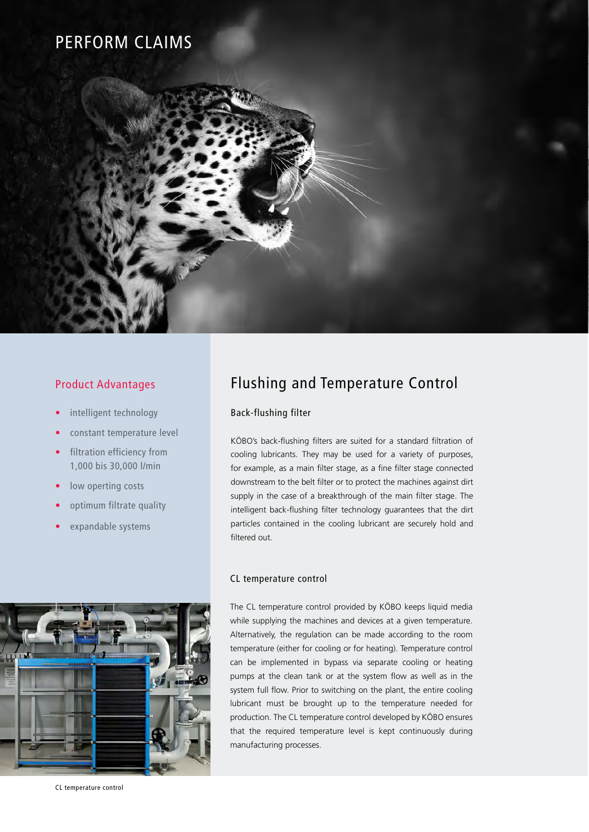# PERFORM CLAIMS



### Product Advantages

- intelligent technology
- constant temperature level
- filtration efficiency from 1,000 bis 30,000 l/min
- low operting costs
- optimum filtrate quality
- expandable systems



## Flushing and Temperature Control

### Back-flushing filter

KÖBO's back-flushing filters are suited for a standard filtration of cooling lubricants. They may be used for a variety of purposes, for example, as a main filter stage, as a fine filter stage connected downstream to the belt filter or to protect the machines against dirt supply in the case of a breakthrough of the main filter stage. The intelligent back-flushing filter technology guarantees that the dirt particles contained in the cooling lubricant are securely hold and filtered out.

### CL temperature control

The CL temperature control provided by KÖBO keeps liquid media while supplying the machines and devices at a given temperature. Alternatively, the regulation can be made according to the room temperature (either for cooling or for heating). Temperature control can be implemented in bypass via separate cooling or heating pumps at the clean tank or at the system flow as well as in the system full flow. Prior to switching on the plant, the entire cooling lubricant must be brought up to the temperature needed for production. The CL temperature control developed by KÖBO ensures that the required temperature level is kept continuously during manufacturing processes.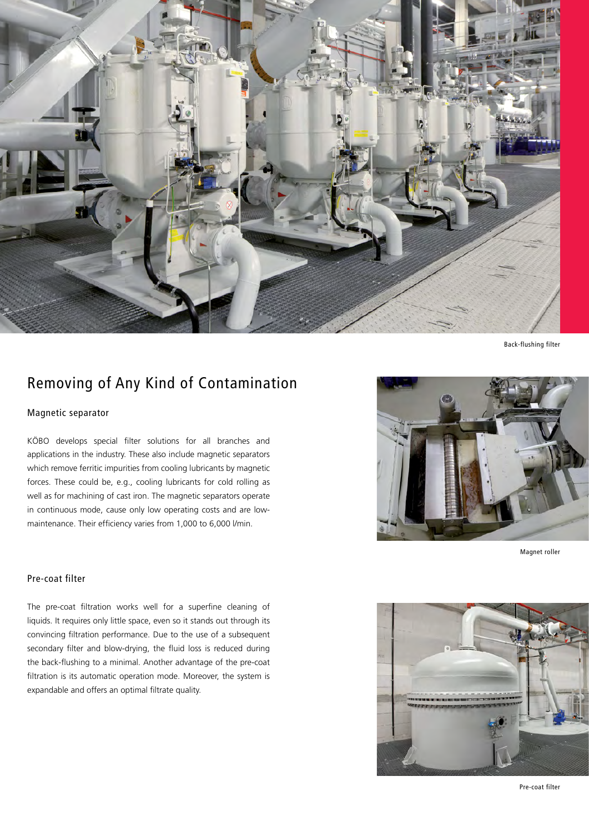

Back-flushing filter

## Removing of Any Kind of Contamination

### Magnetic separator

KÖBO develops special filter solutions for all branches and applications in the industry. These also include magnetic separators which remove ferritic impurities from cooling lubricants by magnetic forces. These could be, e.g., cooling lubricants for cold rolling as well as for machining of cast iron. The magnetic separators operate in continuous mode, cause only low operating costs and are lowmaintenance. Their efficiency varies from 1,000 to 6,000 l/min.

### Pre-coat filter

The pre-coat filtration works well for a superfine cleaning of liquids. It requires only little space, even so it stands out through its convincing filtration performance. Due to the use of a subsequent secondary filter and blow-drying, the fluid loss is reduced during the back-flushing to a minimal. Another advantage of the pre-coat filtration is its automatic operation mode. Moreover, the system is expandable and offers an optimal filtrate quality.



Magnet roller



Pre-coat filter